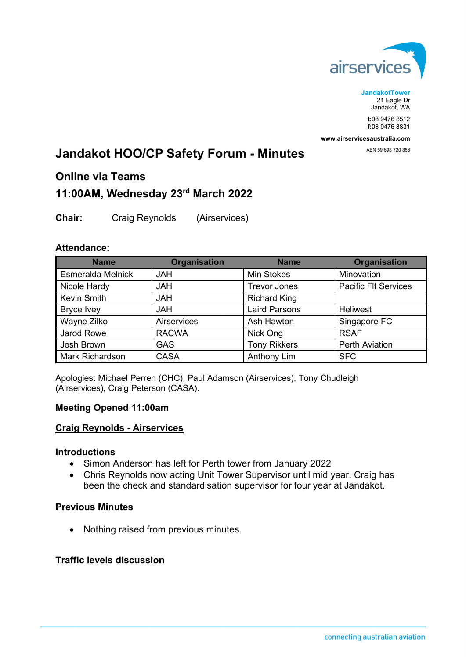

**JandakotTower** 21 Eagle Dr Jandakot, WA

**t:**08 9476 8512 **f:**08 9476 8831

**www.airservicesaustralia.com**

ABN 59 698 720 886

# **Jandakot HOO/CP Safety Forum - Minutes**

# **Online via Teams**

# **11:00AM, Wednesday 23rd March 2022**

**Chair:** Craig Reynolds (Airservices)

#### **Attendance:**

| <b>Name</b>            | <b>Organisation</b> | <b>Name</b>          | <b>Organisation</b>         |
|------------------------|---------------------|----------------------|-----------------------------|
| Esmeralda Melnick      | <b>JAH</b>          | <b>Min Stokes</b>    | Minovation                  |
| Nicole Hardy           | <b>JAH</b>          | <b>Trevor Jones</b>  | <b>Pacific Flt Services</b> |
| <b>Kevin Smith</b>     | <b>HAL</b>          | <b>Richard King</b>  |                             |
| <b>Bryce Ivey</b>      | <b>JAH</b>          | <b>Laird Parsons</b> | <b>Heliwest</b>             |
| Wayne Zilko            | Airservices         | Ash Hawton           | Singapore FC                |
| Jarod Rowe             | <b>RACWA</b>        | Nick Ong             | <b>RSAF</b>                 |
| Josh Brown             | <b>GAS</b>          | <b>Tony Rikkers</b>  | <b>Perth Aviation</b>       |
| <b>Mark Richardson</b> | <b>CASA</b>         | Anthony Lim          | <b>SFC</b>                  |

Apologies: Michael Perren (CHC), Paul Adamson (Airservices), Tony Chudleigh (Airservices), Craig Peterson (CASA).

# **Meeting Opened 11:00am**

# **Craig Reynolds - Airservices**

#### **Introductions**

- Simon Anderson has left for Perth tower from January 2022
- Chris Reynolds now acting Unit Tower Supervisor until mid year. Craig has been the check and standardisation supervisor for four year at Jandakot.

#### **Previous Minutes**

• Nothing raised from previous minutes.

#### **Traffic levels discussion**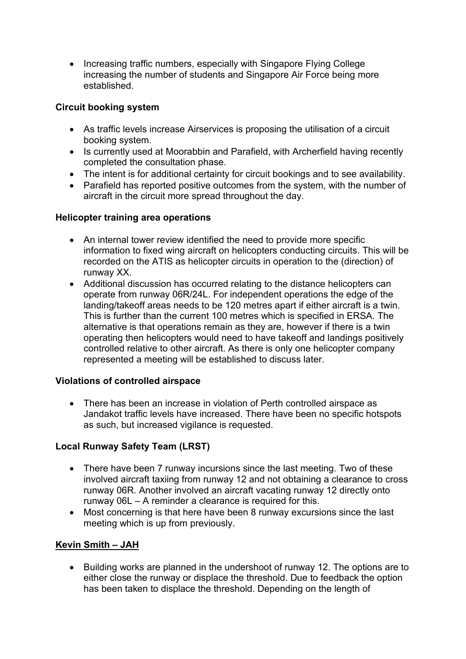• Increasing traffic numbers, especially with Singapore Flying College increasing the number of students and Singapore Air Force being more established.

#### **Circuit booking system**

- As traffic levels increase Airservices is proposing the utilisation of a circuit booking system.
- Is currently used at Moorabbin and Parafield, with Archerfield having recently completed the consultation phase.
- The intent is for additional certainty for circuit bookings and to see availability.
- Parafield has reported positive outcomes from the system, with the number of aircraft in the circuit more spread throughout the day.

#### **Helicopter training area operations**

- An internal tower review identified the need to provide more specific information to fixed wing aircraft on helicopters conducting circuits. This will be recorded on the ATIS as helicopter circuits in operation to the (direction) of runway XX.
- Additional discussion has occurred relating to the distance helicopters can operate from runway 06R/24L. For independent operations the edge of the landing/takeoff areas needs to be 120 metres apart if either aircraft is a twin. This is further than the current 100 metres which is specified in ERSA. The alternative is that operations remain as they are, however if there is a twin operating then helicopters would need to have takeoff and landings positively controlled relative to other aircraft. As there is only one helicopter company represented a meeting will be established to discuss later.

# **Violations of controlled airspace**

• There has been an increase in violation of Perth controlled airspace as Jandakot traffic levels have increased. There have been no specific hotspots as such, but increased vigilance is requested.

# **Local Runway Safety Team (LRST)**

- There have been 7 runway incursions since the last meeting. Two of these involved aircraft taxiing from runway 12 and not obtaining a clearance to cross runway 06R. Another involved an aircraft vacating runway 12 directly onto runway 06L – A reminder a clearance is required for this.
- Most concerning is that here have been 8 runway excursions since the last meeting which is up from previously.

# **Kevin Smith – JAH**

• Building works are planned in the undershoot of runway 12. The options are to either close the runway or displace the threshold. Due to feedback the option has been taken to displace the threshold. Depending on the length of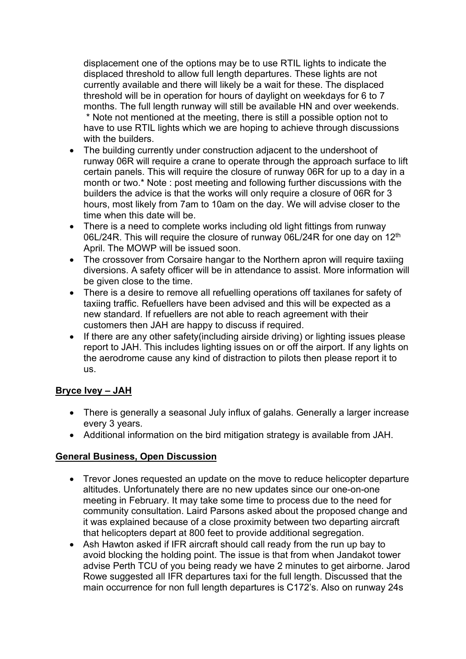displacement one of the options may be to use RTIL lights to indicate the displaced threshold to allow full length departures. These lights are not currently available and there will likely be a wait for these. The displaced threshold will be in operation for hours of daylight on weekdays for 6 to 7 months. The full length runway will still be available HN and over weekends. \* Note not mentioned at the meeting, there is still a possible option not to have to use RTIL lights which we are hoping to achieve through discussions with the builders.

- The building currently under construction adjacent to the undershoot of runway 06R will require a crane to operate through the approach surface to lift certain panels. This will require the closure of runway 06R for up to a day in a month or two.\* Note : post meeting and following further discussions with the builders the advice is that the works will only require a closure of 06R for 3 hours, most likely from 7am to 10am on the day. We will advise closer to the time when this date will be.
- There is a need to complete works including old light fittings from runway 06L/24R. This will require the closure of runway 06L/24R for one day on 12<sup>th</sup> April. The MOWP will be issued soon.
- The crossover from Corsaire hangar to the Northern apron will require taxiing diversions. A safety officer will be in attendance to assist. More information will be given close to the time.
- There is a desire to remove all refuelling operations off taxilanes for safety of taxiing traffic. Refuellers have been advised and this will be expected as a new standard. If refuellers are not able to reach agreement with their customers then JAH are happy to discuss if required.
- If there are any other safety(including airside driving) or lighting issues please report to JAH. This includes lighting issues on or off the airport. If any lights on the aerodrome cause any kind of distraction to pilots then please report it to us.

# **Bryce Ivey – JAH**

- There is generally a seasonal July influx of galahs. Generally a larger increase every 3 years.
- Additional information on the bird mitigation strategy is available from JAH.

# **General Business, Open Discussion**

- Trevor Jones requested an update on the move to reduce helicopter departure altitudes. Unfortunately there are no new updates since our one-on-one meeting in February. It may take some time to process due to the need for community consultation. Laird Parsons asked about the proposed change and it was explained because of a close proximity between two departing aircraft that helicopters depart at 800 feet to provide additional segregation.
- Ash Hawton asked if IFR aircraft should call ready from the run up bay to avoid blocking the holding point. The issue is that from when Jandakot tower advise Perth TCU of you being ready we have 2 minutes to get airborne. Jarod Rowe suggested all IFR departures taxi for the full length. Discussed that the main occurrence for non full length departures is C172's. Also on runway 24s